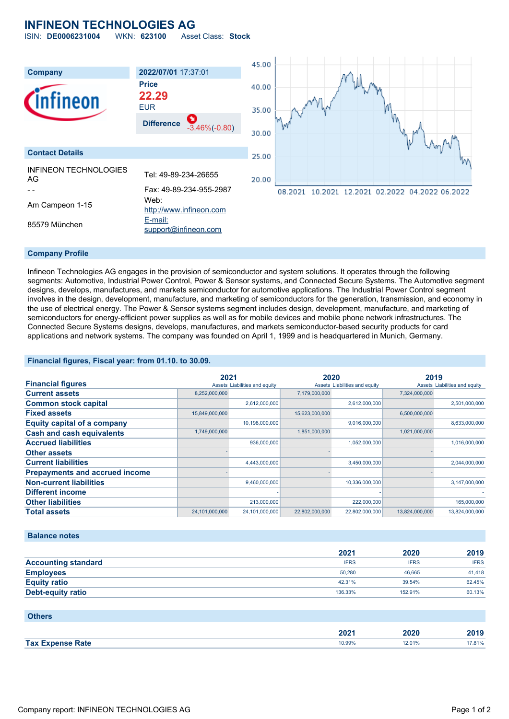# **INFINEON TECHNOLOGIES AG**

ISIN: **DE0006231004** WKN: **623100** Asset Class: **Stock**



### **Company Profile**

Infineon Technologies AG engages in the provision of semiconductor and system solutions. It operates through the following segments: Automotive, Industrial Power Control, Power & Sensor systems, and Connected Secure Systems. The Automotive segment designs, develops, manufactures, and markets semiconductor for automotive applications. The Industrial Power Control segment involves in the design, development, manufacture, and marketing of semiconductors for the generation, transmission, and economy in the use of electrical energy. The Power & Sensor systems segment includes design, development, manufacture, and marketing of semiconductors for energy-efficient power supplies as well as for mobile devices and mobile phone network infrastructures. The Connected Secure Systems designs, develops, manufactures, and markets semiconductor-based security products for card applications and network systems. The company was founded on April 1, 1999 and is headquartered in Munich, Germany.

### **Financial figures, Fiscal year: from 01.10. to 30.09.**

|                                       | 2021           |                               | 2020           |                               | 2019           |                               |
|---------------------------------------|----------------|-------------------------------|----------------|-------------------------------|----------------|-------------------------------|
| <b>Financial figures</b>              |                | Assets Liabilities and equity |                | Assets Liabilities and equity |                | Assets Liabilities and equity |
| <b>Current assets</b>                 | 8,252,000,000  |                               | 7,179,000,000  |                               | 7,324,000,000  |                               |
| <b>Common stock capital</b>           |                | 2,612,000,000                 |                | 2,612,000,000                 |                | 2,501,000,000                 |
| <b>Fixed assets</b>                   | 15,849,000,000 |                               | 15,623,000,000 |                               | 6,500,000,000  |                               |
| <b>Equity capital of a company</b>    |                | 10,198,000,000                |                | 9,016,000,000                 |                | 8,633,000,000                 |
| <b>Cash and cash equivalents</b>      | 1,749,000,000  |                               | 1,851,000,000  |                               | 1,021,000,000  |                               |
| <b>Accrued liabilities</b>            |                | 936,000,000                   |                | 1,052,000,000                 |                | 1,016,000,000                 |
| <b>Other assets</b>                   |                |                               |                |                               |                |                               |
| <b>Current liabilities</b>            |                | 4,443,000,000                 |                | 3,450,000,000                 |                | 2,044,000,000                 |
| <b>Prepayments and accrued income</b> |                |                               |                |                               |                |                               |
| <b>Non-current liabilities</b>        |                | 9,460,000,000                 |                | 10,336,000,000                |                | 3,147,000,000                 |
| <b>Different income</b>               |                |                               |                |                               |                |                               |
| <b>Other liabilities</b>              |                | 213,000,000                   |                | 222,000,000                   |                | 165,000,000                   |
| <b>Total assets</b>                   | 24,101,000,000 | 24,101,000,000                | 22,802,000,000 | 22,802,000,000                | 13,824,000,000 | 13,824,000,000                |

#### **Balance notes**

|                            | 2021        | 2020        | 2019        |
|----------------------------|-------------|-------------|-------------|
| <b>Accounting standard</b> | <b>IFRS</b> | <b>IFRS</b> | <b>IFRS</b> |
| <b>Employees</b>           | 50.280      | 46.665      | 41.418      |
| <b>Equity ratio</b>        | 42.31%      | 39.54%      | 62.45%      |
| Debt-equity ratio          | 136.33%     | 152.91%     | 60.13%      |

| <b>Others</b>           |                  |        |        |
|-------------------------|------------------|--------|--------|
|                         | 202 <sub>1</sub> | 2020   | 2019   |
| <b>Tax Expense Rate</b> | 10.99%           | 12.01% | 17.81% |